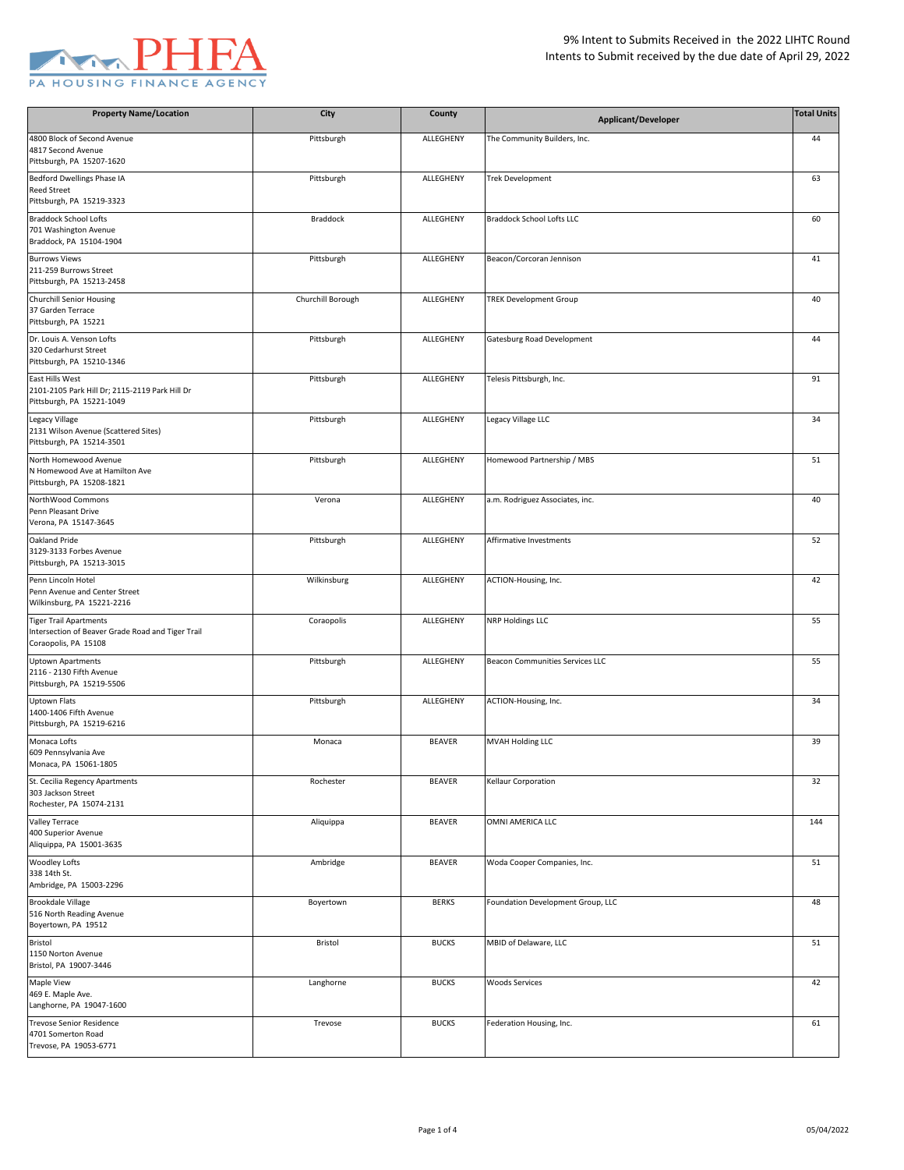

| <b>Property Name/Location</b>                                                                              | City              | County        | <b>Applicant/Developer</b>        | <b>Total Units</b> |
|------------------------------------------------------------------------------------------------------------|-------------------|---------------|-----------------------------------|--------------------|
| 4800 Block of Second Avenue<br>4817 Second Avenue<br>Pittsburgh, PA 15207-1620                             | Pittsburgh        | ALLEGHENY     | The Community Builders, Inc.      | 44                 |
| Bedford Dwellings Phase IA<br><b>Reed Street</b><br>Pittsburgh, PA 15219-3323                              | Pittsburgh        | ALLEGHENY     | <b>Trek Development</b>           | 63                 |
| <b>Braddock School Lofts</b><br>701 Washington Avenue<br>Braddock, PA 15104-1904                           | Braddock          | ALLEGHENY     | <b>Braddock School Lofts LLC</b>  | 60                 |
| <b>Burrows Views</b><br>211-259 Burrows Street<br>Pittsburgh, PA 15213-2458                                | Pittsburgh        | ALLEGHENY     | Beacon/Corcoran Jennison          | 41                 |
| <b>Churchill Senior Housing</b><br>37 Garden Terrace<br>Pittsburgh, PA 15221                               | Churchill Borough | ALLEGHENY     | <b>TREK Development Group</b>     | 40                 |
| Dr. Louis A. Venson Lofts<br>320 Cedarhurst Street<br>Pittsburgh, PA 15210-1346                            | Pittsburgh        | ALLEGHENY     | Gatesburg Road Development        | 44                 |
| East Hills West<br>2101-2105 Park Hill Dr; 2115-2119 Park Hill Dr<br>Pittsburgh, PA 15221-1049             | Pittsburgh        | ALLEGHENY     | Telesis Pittsburgh, Inc.          | 91                 |
| Legacy Village<br>2131 Wilson Avenue (Scattered Sites)<br>Pittsburgh, PA 15214-3501                        | Pittsburgh        | ALLEGHENY     | Legacy Village LLC                | 34                 |
| North Homewood Avenue<br>N Homewood Ave at Hamilton Ave<br>Pittsburgh, PA 15208-1821                       | Pittsburgh        | ALLEGHENY     | Homewood Partnership / MBS        | 51                 |
| NorthWood Commons<br>Penn Pleasant Drive<br>Verona, PA 15147-3645                                          | Verona            | ALLEGHENY     | a.m. Rodriguez Associates, inc.   | 40                 |
| Oakland Pride<br>3129-3133 Forbes Avenue<br>Pittsburgh, PA 15213-3015                                      | Pittsburgh        | ALLEGHENY     | Affirmative Investments           | 52                 |
| Penn Lincoln Hotel<br>Penn Avenue and Center Street<br>Wilkinsburg, PA 15221-2216                          | Wilkinsburg       | ALLEGHENY     | ACTION-Housing, Inc.              | 42                 |
| <b>Tiger Trail Apartments</b><br>Intersection of Beaver Grade Road and Tiger Trail<br>Coraopolis, PA 15108 | Coraopolis        | ALLEGHENY     | <b>NRP Holdings LLC</b>           | 55                 |
| <b>Uptown Apartments</b><br>2116 - 2130 Fifth Avenue<br>Pittsburgh, PA 15219-5506                          | Pittsburgh        | ALLEGHENY     | Beacon Communities Services LLC   | 55                 |
| <b>Uptown Flats</b><br>1400-1406 Fifth Avenue<br>Pittsburgh, PA 15219-6216                                 | Pittsburgh        | ALLEGHENY     | ACTION-Housing, Inc.              | 34                 |
| Monaca Lofts<br>609 Pennsylvania Ave<br>Monaca, PA 15061-1805                                              | Monaca            | <b>BEAVER</b> | MVAH Holding LLC                  | 39                 |
| St. Cecilia Regency Apartments<br>303 Jackson Street<br>Rochester, PA 15074-2131                           | Rochester         | <b>BEAVER</b> | Kellaur Corporation               | 32                 |
| <b>Valley Terrace</b><br>400 Superior Avenue<br>Aliquippa, PA 15001-3635                                   | Aliquippa         | <b>BEAVER</b> | OMNI AMERICA LLC                  | 144                |
| <b>Woodley Lofts</b><br>338 14th St.<br>Ambridge, PA 15003-2296                                            | Ambridge          | <b>BEAVER</b> | Woda Cooper Companies, Inc.       | 51                 |
| <b>Brookdale Village</b><br>516 North Reading Avenue<br>Boyertown, PA 19512                                | Boyertown         | <b>BERKS</b>  | Foundation Development Group, LLC | 48                 |
| Bristol<br>1150 Norton Avenue<br>Bristol, PA 19007-3446                                                    | Bristol           | <b>BUCKS</b>  | MBID of Delaware, LLC             | 51                 |
| Maple View<br>469 E. Maple Ave.<br>Langhorne, PA 19047-1600                                                | Langhorne         | <b>BUCKS</b>  | <b>Woods Services</b>             | 42                 |
| <b>Trevose Senior Residence</b><br>4701 Somerton Road<br>Trevose, PA 19053-6771                            | Trevose           | <b>BUCKS</b>  | Federation Housing, Inc.          | 61                 |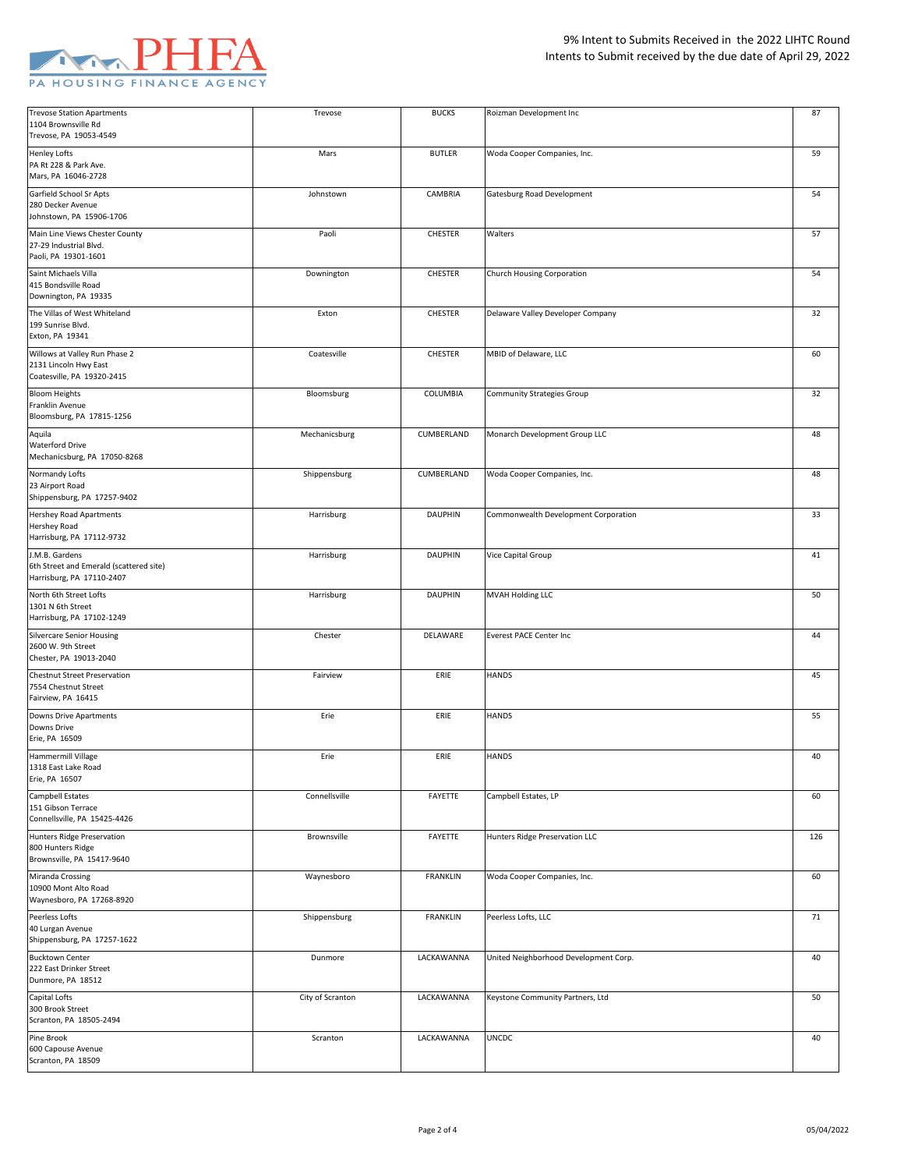

| <b>Trevose Station Apartments</b>                      | Trevose          | <b>BUCKS</b>    | Roizman Development Inc               | 87  |
|--------------------------------------------------------|------------------|-----------------|---------------------------------------|-----|
| 1104 Brownsville Rd                                    |                  |                 |                                       |     |
| Trevose, PA 19053-4549                                 |                  |                 |                                       |     |
| Henley Lofts                                           | Mars             | <b>BUTLER</b>   | Woda Cooper Companies, Inc.           | 59  |
| PA Rt 228 & Park Ave.                                  |                  |                 |                                       |     |
| Mars, PA 16046-2728                                    |                  |                 |                                       |     |
| Garfield School Sr Apts                                | Johnstown        | CAMBRIA         | Gatesburg Road Development            | 54  |
| 280 Decker Avenue                                      |                  |                 |                                       |     |
| Johnstown, PA 15906-1706                               |                  |                 |                                       |     |
| Main Line Views Chester County                         | Paoli            | CHESTER         | Walters                               | 57  |
| 27-29 Industrial Blvd.                                 |                  |                 |                                       |     |
| Paoli, PA 19301-1601                                   |                  |                 |                                       |     |
| Saint Michaels Villa                                   | Downington       | CHESTER         | Church Housing Corporation            | 54  |
| 415 Bondsville Road                                    |                  |                 |                                       |     |
| Downington, PA 19335                                   |                  |                 |                                       |     |
| The Villas of West Whiteland                           | Exton            | CHESTER         | Delaware Valley Developer Company     | 32  |
| 199 Sunrise Blvd.                                      |                  |                 |                                       |     |
| Exton, PA 19341                                        |                  |                 |                                       |     |
|                                                        |                  |                 |                                       |     |
| Willows at Valley Run Phase 2<br>2131 Lincoln Hwy East | Coatesville      | CHESTER         | MBID of Delaware, LLC                 | 60  |
| Coatesville, PA 19320-2415                             |                  |                 |                                       |     |
|                                                        |                  |                 |                                       |     |
| <b>Bloom Heights</b>                                   | Bloomsburg       | COLUMBIA        | Community Strategies Group            | 32  |
| Franklin Avenue<br>Bloomsburg, PA 17815-1256           |                  |                 |                                       |     |
|                                                        |                  |                 |                                       |     |
| Aquila                                                 | Mechanicsburg    | CUMBERLAND      | Monarch Development Group LLC         | 48  |
| <b>Waterford Drive</b>                                 |                  |                 |                                       |     |
| Mechanicsburg, PA 17050-8268                           |                  |                 |                                       |     |
| Normandy Lofts                                         | Shippensburg     | CUMBERLAND      | Woda Cooper Companies, Inc.           | 48  |
| 23 Airport Road                                        |                  |                 |                                       |     |
| Shippensburg, PA 17257-9402                            |                  |                 |                                       |     |
| <b>Hershey Road Apartments</b>                         | Harrisburg       | <b>DAUPHIN</b>  | Commonwealth Development Corporation  | 33  |
| Hershey Road                                           |                  |                 |                                       |     |
| Harrisburg, PA 17112-9732                              |                  |                 |                                       |     |
| J.M.B. Gardens                                         | Harrisburg       | <b>DAUPHIN</b>  | Vice Capital Group                    | 41  |
| 6th Street and Emerald (scattered site)                |                  |                 |                                       |     |
| Harrisburg, PA 17110-2407                              |                  |                 |                                       |     |
| North 6th Street Lofts                                 | Harrisburg       | <b>DAUPHIN</b>  | MVAH Holding LLC                      | 50  |
|                                                        |                  |                 |                                       |     |
|                                                        |                  |                 |                                       |     |
| 1301 N 6th Street                                      |                  |                 |                                       |     |
| Harrisburg, PA 17102-1249                              |                  |                 |                                       |     |
| <b>Silvercare Senior Housing</b>                       | Chester          | DELAWARE        | Everest PACE Center Inc               | 44  |
| 2600 W. 9th Street                                     |                  |                 |                                       |     |
| Chester, PA 19013-2040                                 |                  |                 |                                       |     |
| <b>Chestnut Street Preservation</b>                    | Fairview         | ERIE            | <b>HANDS</b>                          | 45  |
| 7554 Chestnut Street                                   |                  |                 |                                       |     |
| Fairview, PA 16415                                     |                  |                 |                                       |     |
| Downs Drive Apartments                                 | Erie             | ERIE            | <b>HANDS</b>                          | 55  |
| Downs Drive                                            |                  |                 |                                       |     |
| Erie, PA 16509                                         |                  |                 |                                       |     |
| Hammermill Village                                     | Erie             | ERIE            | <b>HANDS</b>                          | 40  |
| 1318 East Lake Road                                    |                  |                 |                                       |     |
| Erie, PA 16507                                         |                  |                 |                                       |     |
|                                                        | Connellsville    | FAYETTE         |                                       | 60  |
| Campbell Estates<br>151 Gibson Terrace                 |                  |                 | Campbell Estates, LP                  |     |
| Connellsville, PA 15425-4426                           |                  |                 |                                       |     |
|                                                        | Brownsville      |                 |                                       |     |
| Hunters Ridge Preservation<br>800 Hunters Ridge        |                  | FAYETTE         | Hunters Ridge Preservation LLC        | 126 |
| Brownsville, PA 15417-9640                             |                  |                 |                                       |     |
|                                                        |                  |                 |                                       |     |
| Miranda Crossing                                       | Waynesboro       | <b>FRANKLIN</b> | Woda Cooper Companies, Inc.           | 60  |
| 10900 Mont Alto Road                                   |                  |                 |                                       |     |
| Waynesboro, PA 17268-8920                              |                  |                 |                                       |     |
| Peerless Lofts                                         | Shippensburg     | <b>FRANKLIN</b> | Peerless Lofts, LLC                   | 71  |
| 40 Lurgan Avenue                                       |                  |                 |                                       |     |
| Shippensburg, PA 17257-1622                            |                  |                 |                                       |     |
| <b>Bucktown Center</b>                                 | Dunmore          | LACKAWANNA      | United Neighborhood Development Corp. | 40  |
| 222 East Drinker Street                                |                  |                 |                                       |     |
| Dunmore, PA 18512                                      |                  |                 |                                       |     |
| Capital Lofts                                          | City of Scranton | LACKAWANNA      | Keystone Community Partners, Ltd      | 50  |
| 300 Brook Street                                       |                  |                 |                                       |     |
| Scranton, PA 18505-2494                                |                  |                 |                                       |     |
| Pine Brook                                             | Scranton         | LACKAWANNA      | <b>UNCDC</b>                          | 40  |
| 600 Capouse Avenue<br>Scranton, PA 18509               |                  |                 |                                       |     |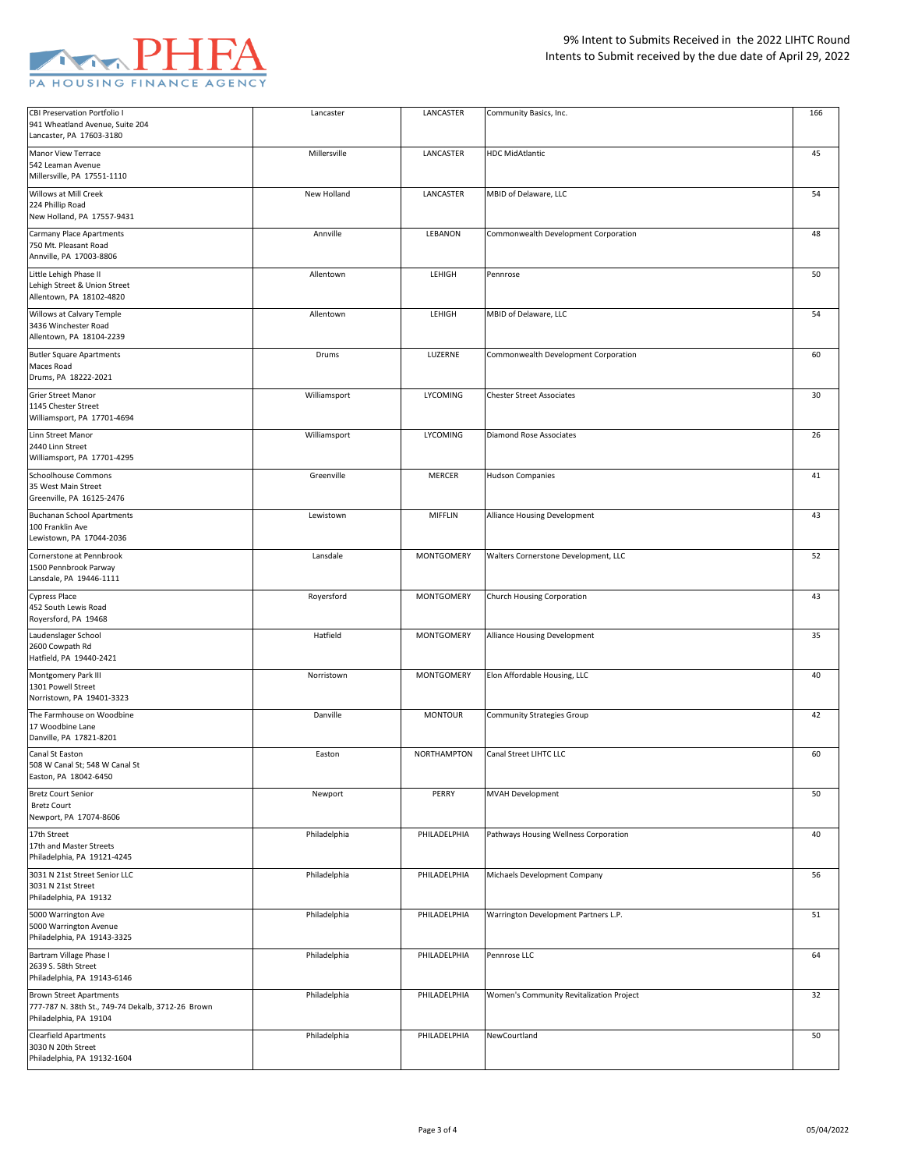

| CBI Preservation Portfolio I<br>941 Wheatland Avenue, Suite 204<br>Lancaster, PA 17603-3180 | Lancaster    | LANCASTER         | Community Basics, Inc.                   | 166 |
|---------------------------------------------------------------------------------------------|--------------|-------------------|------------------------------------------|-----|
|                                                                                             |              |                   |                                          |     |
| Manor View Terrace<br>542 Leaman Avenue<br>Millersville, PA 17551-1110                      | Millersville | LANCASTER         | <b>HDC MidAtlantic</b>                   | 45  |
| Willows at Mill Creek                                                                       | New Holland  | LANCASTER         | MBID of Delaware, LLC                    | 54  |
| 224 Phillip Road<br>New Holland, PA 17557-9431                                              |              |                   |                                          |     |
| <b>Carmany Place Apartments</b>                                                             | Annville     | LEBANON           | Commonwealth Development Corporation     | 48  |
| 750 Mt. Pleasant Road<br>Annville, PA 17003-8806                                            |              |                   |                                          |     |
| Little Lehigh Phase II                                                                      | Allentown    | LEHIGH            | Pennrose                                 | 50  |
| Lehigh Street & Union Street<br>Allentown, PA 18102-4820                                    |              |                   |                                          |     |
| Willows at Calvary Temple                                                                   | Allentown    | LEHIGH            | MBID of Delaware, LLC                    | 54  |
| 3436 Winchester Road<br>Allentown, PA 18104-2239                                            |              |                   |                                          |     |
| <b>Butler Square Apartments</b>                                                             | Drums        | LUZERNE           | Commonwealth Development Corporation     | 60  |
| Maces Road<br>Drums, PA 18222-2021                                                          |              |                   |                                          |     |
| Grier Street Manor                                                                          | Williamsport | LYCOMING          | <b>Chester Street Associates</b>         | 30  |
| 1145 Chester Street<br>Williamsport, PA 17701-4694                                          |              |                   |                                          |     |
| Linn Street Manor                                                                           | Williamsport | LYCOMING          | <b>Diamond Rose Associates</b>           | 26  |
| 2440 Linn Street<br>Williamsport, PA 17701-4295                                             |              |                   |                                          |     |
| <b>Schoolhouse Commons</b>                                                                  | Greenville   | MERCER            | <b>Hudson Companies</b>                  | 41  |
| 35 West Main Street<br>Greenville, PA 16125-2476                                            |              |                   |                                          |     |
| <b>Buchanan School Apartments</b>                                                           | Lewistown    | MIFFLIN           | Alliance Housing Development             | 43  |
| 100 Franklin Ave<br>Lewistown, PA 17044-2036                                                |              |                   |                                          |     |
| Cornerstone at Pennbrook                                                                    | Lansdale     | <b>MONTGOMERY</b> | Walters Cornerstone Development, LLC     | 52  |
| 1500 Pennbrook Parway<br>Lansdale, PA 19446-1111                                            |              |                   |                                          |     |
| <b>Cypress Place</b>                                                                        | Royersford   | MONTGOMERY        | Church Housing Corporation               | 43  |
| 452 South Lewis Road<br>Royersford, PA 19468                                                |              |                   |                                          |     |
| Laudenslager School                                                                         | Hatfield     | MONTGOMERY        | Alliance Housing Development             | 35  |
| 2600 Cowpath Rd<br>Hatfield, PA 19440-2421                                                  |              |                   |                                          |     |
| Montgomery Park III                                                                         | Norristown   | MONTGOMERY        | Elon Affordable Housing, LLC             | 40  |
| 1301 Powell Street<br>Norristown, PA 19401-3323                                             |              |                   |                                          |     |
| The Farmhouse on Woodbine                                                                   | Danville     | <b>MONTOUR</b>    | <b>Community Strategies Group</b>        | 42  |
| 17 Woodbine Lane<br>Danville, PA 17821-8201                                                 |              |                   |                                          |     |
| Canal St Easton                                                                             | Easton       | NORTHAMPTON       | Canal Street LIHTC LLC                   | 60  |
| 508 W Canal St; 548 W Canal St<br>Easton, PA 18042-6450                                     |              |                   |                                          |     |
| <b>Bretz Court Senior</b>                                                                   | Newport      | PERRY             | MVAH Development                         | 50  |
| <b>Bretz Court</b><br>Newport, PA 17074-8606                                                |              |                   |                                          |     |
| 17th Street                                                                                 | Philadelphia | PHILADELPHIA      | Pathways Housing Wellness Corporation    | 40  |
| 17th and Master Streets<br>Philadelphia, PA 19121-4245                                      |              |                   |                                          |     |
| 3031 N 21st Street Senior LLC                                                               | Philadelphia | PHILADELPHIA      | Michaels Development Company             | 56  |
| 3031 N 21st Street<br>Philadelphia, PA 19132                                                |              |                   |                                          |     |
| 5000 Warrington Ave                                                                         | Philadelphia | PHILADELPHIA      | Warrington Development Partners L.P.     | 51  |
| 5000 Warrington Avenue<br>Philadelphia, PA 19143-3325                                       |              |                   |                                          |     |
| Bartram Village Phase I                                                                     | Philadelphia | PHILADELPHIA      | Pennrose LLC                             | 64  |
| 2639 S. 58th Street<br>Philadelphia, PA 19143-6146                                          |              |                   |                                          |     |
| <b>Brown Street Apartments</b>                                                              | Philadelphia | PHILADELPHIA      | Women's Community Revitalization Project | 32  |
| 777-787 N. 38th St., 749-74 Dekalb, 3712-26 Brown<br>Philadelphia, PA 19104                 |              |                   |                                          |     |
| Clearfield Apartments                                                                       | Philadelphia | PHILADELPHIA      | NewCourtland                             | 50  |
| 3030 N 20th Street<br>Philadelphia, PA 19132-1604                                           |              |                   |                                          |     |